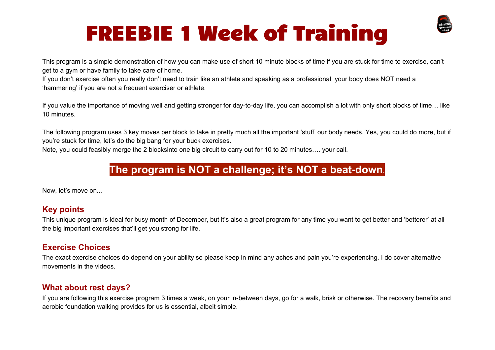# FREEBIE 1 Week of Training



This program is a simple demonstration of how you can make use of short 10 minute blocks of time if you are stuck for time to exercise, can't get to a gym or have family to take care of home.

If you don't exercise often you really don't need to train like an athlete and speaking as a professional, your body does NOT need a 'hammering' if you are not a frequent exerciser or athlete.

If you value the importance of moving well and getting stronger for day-to-day life, you can accomplish a lot with only short blocks of time… like 10 minutes.

The following program uses 3 key moves per block to take in pretty much all the important 'stuff' our body needs. Yes, you could do more, but if you're stuck for time, let's do the big bang for your buck exercises.

Note, you could feasibly merge the 2 blocksinto one big circuit to carry out for 10 to 20 minutes…. your call.

### **The program is NOT a challenge; it's NOT a beat-down.**

Now, let's move on...

#### **Key points**

This unique program is ideal for busy month of December, but it's also a great program for any time you want to get better and 'betterer' at all the big important exercises that'll get you strong for life.

#### **Exercise Choices**

The exact exercise choices do depend on your ability so please keep in mind any aches and pain you're experiencing. I do cover alternative movements in the videos.

#### **What about rest days?**

If you are following this exercise program 3 times a week, on your in-between days, go for a walk, brisk or otherwise. The recovery benefits and aerobic foundation walking provides for us is essential, albeit simple.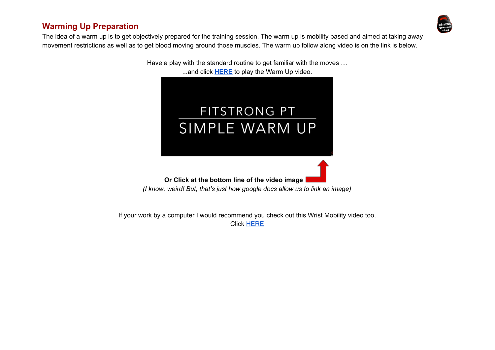#### **Warming Up Preparation**



The idea of a warm up is to get objectively prepared for the training session. The warm up is mobility based and aimed at taking away movement restrictions as well as to get blood moving around those muscles. The warm up follow along video is on the link is below.

> Have a play with the standard routine to get familiar with the moves … ...and click **[HERE](https://www.youtube.com/watch?v=9QPhAD74_vU)** to play the Warm Up video.



*(I know, weird! But, that's just how google docs allow us to link an image)*

If your work by a computer I would recommend you check out this Wrist Mobility video too. Click [HERE](https://www.youtube.com/watch?v=uD4Fai6za6c)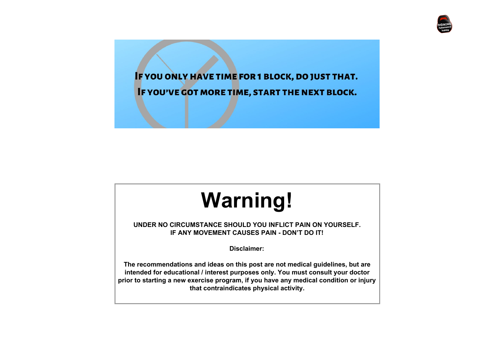

IF YOU ONLY HAVE TIME FOR 1 BLOCK, DO JUST THAT.

IF YOU'VE GOT MORE TIME, START THE NEXT BLOCK.

# **Warning!**

**UNDER NO CIRCUMSTANCE SHOULD YOU INFLICT PAIN ON YOURSELF. IF ANY MOVEMENT CAUSES PAIN - DON'T DO IT!**

**Disclaimer:**

**The recommendations and ideas on this post are not medical guidelines, but are intended for educational / interest purposes only. You must consult your doctor prior to starting a new exercise program, if you have any medical condition or injury that contraindicates physical activity.**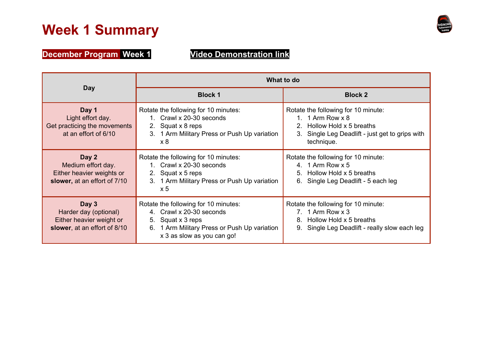## **Week 1 Summary**



**December Program Week 1 Video [Demonstration](https://youtu.be/NLkbjOT8_1s) link**

| Day                                                                                        | What to do                                                                                                                                                                |                                                                                                                                                                             |
|--------------------------------------------------------------------------------------------|---------------------------------------------------------------------------------------------------------------------------------------------------------------------------|-----------------------------------------------------------------------------------------------------------------------------------------------------------------------------|
|                                                                                            | <b>Block 1</b>                                                                                                                                                            | <b>Block 2</b>                                                                                                                                                              |
| Day 1<br>Light effort day.<br>Get practicing the movements<br>at an effort of 6/10         | Rotate the following for 10 minutes:<br>1. Crawl x 20-30 seconds<br>Squat x 8 reps<br>2.<br>1 Arm Military Press or Push Up variation<br>3.<br>x8                         | Rotate the following for 10 minute:<br>1. 1 Arm Row $\times$ 8<br>Hollow Hold x 5 breaths<br>$\mathcal{P}$<br>3. Single Leg Deadlift - just get to grips with<br>technique. |
| Day 2<br>Medium effort day.<br>Either heavier weights or<br>slower, at an effort of 7/10   | Rotate the following for 10 minutes:<br>1. Crawl x 20-30 seconds<br>Squat x 5 reps<br>2.<br>3. 1 Arm Military Press or Push Up variation<br>x <sub>5</sub>                | Rotate the following for 10 minute:<br>4. 1 Arm Row $x 5$<br>5. Hollow Hold x 5 breaths<br>Single Leg Deadlift - 5 each leg<br>6.                                           |
| Day 3<br>Harder day (optional)<br>Either heavier weight or<br>slower, at an effort of 8/10 | Rotate the following for 10 minutes:<br>4. Crawl x 20-30 seconds<br>Squat x 3 reps<br>5.<br>1 Arm Military Press or Push Up variation<br>6.<br>x 3 as slow as you can go! | Rotate the following for 10 minute:<br>7. 1 Arm Row $\times$ 3<br>Hollow Hold x 5 breaths<br>8.<br>Single Leg Deadlift - really slow each leg                               |